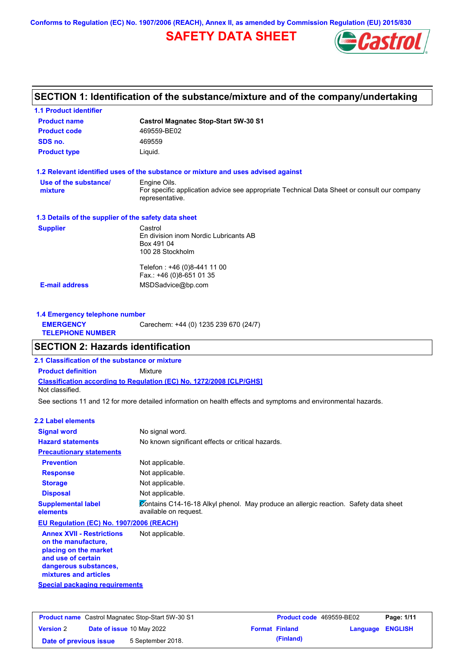**Conforms to Regulation (EC) No. 1907/2006 (REACH), Annex II, as amended by Commission Regulation (EU) 2015/830**

# **SAFETY DATA SHEET**



## **SECTION 1: Identification of the substance/mixture and of the company/undertaking**

| <b>Product name</b>                                  | <b>Castrol Magnatec Stop-Start 5W-30 S1</b>                                                                    |
|------------------------------------------------------|----------------------------------------------------------------------------------------------------------------|
| <b>Product code</b>                                  | 469559-BE02                                                                                                    |
| SDS no.                                              | 469559                                                                                                         |
| <b>Product type</b>                                  | Liquid.                                                                                                        |
|                                                      | 1.2 Relevant identified uses of the substance or mixture and uses advised against                              |
| Use of the substance/                                | Engine Oils.                                                                                                   |
| mixture                                              | For specific application advice see appropriate Technical Data Sheet or consult our company<br>representative. |
| 1.3 Details of the supplier of the safety data sheet |                                                                                                                |
| <b>Supplier</b>                                      | Castrol                                                                                                        |
|                                                      | En division inom Nordic Lubricants AB                                                                          |
|                                                      | Box 491 04                                                                                                     |
|                                                      | 100 28 Stockholm                                                                                               |
|                                                      | Telefon : +46 (0)8-441 11 00                                                                                   |
|                                                      | Fax.: +46 (0)8-651 01 35                                                                                       |
|                                                      | MSDSadvice@bp.com                                                                                              |

| 1.4 Emergency telephone number              |                                       |  |  |  |
|---------------------------------------------|---------------------------------------|--|--|--|
| <b>EMERGENCY</b><br><b>TELEPHONE NUMBER</b> | Carechem: +44 (0) 1235 239 670 (24/7) |  |  |  |

## **SECTION 2: Hazards identification**

**2.1 Classification of the substance or mixture**

**Classification according to Regulation (EC) No. 1272/2008 [CLP/GHS] Product definition** Mixture Not classified.

See sections 11 and 12 for more detailed information on health effects and symptoms and environmental hazards.

### **2.2 Label elements**

| <b>Signal word</b>                                                               | No signal word.                                                                                               |
|----------------------------------------------------------------------------------|---------------------------------------------------------------------------------------------------------------|
| <b>Hazard statements</b>                                                         | No known significant effects or critical hazards.                                                             |
| <b>Precautionary statements</b>                                                  |                                                                                                               |
| <b>Prevention</b>                                                                | Not applicable.                                                                                               |
| <b>Response</b>                                                                  | Not applicable.                                                                                               |
| <b>Storage</b>                                                                   | Not applicable.                                                                                               |
| <b>Disposal</b>                                                                  | Not applicable.                                                                                               |
| <b>Supplemental label</b><br>elements                                            | Contains C14-16-18 Alkyl phenol. May produce an allergic reaction. Safety data sheet<br>available on request. |
| EU Regulation (EC) No. 1907/2006 (REACH)                                         |                                                                                                               |
| <b>Annex XVII - Restrictions</b><br>on the manufacture,<br>placing on the market | Not applicable.                                                                                               |

**and use of certain dangerous substances, mixtures and articles**

|  |  | Special packaging requirements |  |
|--|--|--------------------------------|--|
|  |  |                                |  |

| <b>Product name</b> Castrol Magnatec Stop-Start 5W-30 S1 |  |                                  | <b>Product code</b> 469559-BE02 |                       | Page: 1/11              |  |
|----------------------------------------------------------|--|----------------------------------|---------------------------------|-----------------------|-------------------------|--|
| <b>Version 2</b>                                         |  | <b>Date of issue 10 May 2022</b> |                                 | <b>Format Finland</b> | <b>Language ENGLISH</b> |  |
| Date of previous issue                                   |  | 5 September 2018.                |                                 | (Finland)             |                         |  |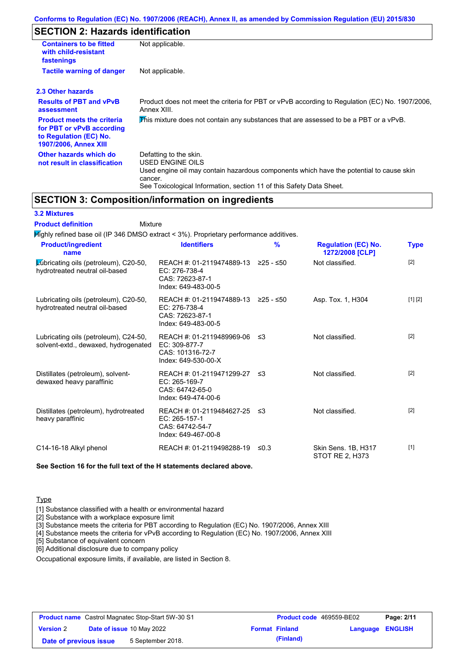## **SECTION 2: Hazards identification**

| <b>Containers to be fitted</b><br>with child-resistant<br>fastenings                                                     | Not applicable.                                                                                                                                                                                                          |
|--------------------------------------------------------------------------------------------------------------------------|--------------------------------------------------------------------------------------------------------------------------------------------------------------------------------------------------------------------------|
| <b>Tactile warning of danger</b>                                                                                         | Not applicable.                                                                                                                                                                                                          |
| 2.3 Other hazards                                                                                                        |                                                                                                                                                                                                                          |
| <b>Results of PBT and vPvB</b><br>assessment                                                                             | Product does not meet the criteria for PBT or vPvB according to Regulation (EC) No. 1907/2006,<br>Annex XIII.                                                                                                            |
| <b>Product meets the criteria</b><br>for PBT or vPvB according<br>to Regulation (EC) No.<br><b>1907/2006, Annex XIII</b> | This mixture does not contain any substances that are assessed to be a PBT or a vPvB.                                                                                                                                    |
| Other hazards which do<br>not result in classification                                                                   | Defatting to the skin.<br>USED ENGINE OILS<br>Used engine oil may contain hazardous components which have the potential to cause skin<br>cancer.<br>See Toxicological Information, section 11 of this Safety Data Sheet. |

## **SECTION 3: Composition/information on ingredients**

## **3.2 Mixtures**

Mixture **Product definition**

| <b>Product/ingredient</b><br>name                                             | <b>Identifiers</b>                                                                    | $\frac{9}{6}$ | <b>Regulation (EC) No.</b><br>1272/2008 [CLP] | <b>Type</b> |
|-------------------------------------------------------------------------------|---------------------------------------------------------------------------------------|---------------|-----------------------------------------------|-------------|
| Lubricating oils (petroleum), C20-50,<br>hydrotreated neutral oil-based       | REACH #: 01-2119474889-13<br>EC: 276-738-4<br>CAS: 72623-87-1<br>Index: 649-483-00-5  | ≥25 - ≤50     | Not classified.                               | [2]         |
| Lubricating oils (petroleum), C20-50,<br>hydrotreated neutral oil-based       | REACH #: 01-2119474889-13<br>EC: 276-738-4<br>CAS: 72623-87-1<br>Index: 649-483-00-5  | ≥25 - ≤50     | Asp. Tox. 1, H304                             | [1] [2]     |
| Lubricating oils (petroleum), C24-50,<br>solvent-extd., dewaxed, hydrogenated | REACH #: 01-2119489969-06<br>EC: 309-877-7<br>CAS: 101316-72-7<br>Index: 649-530-00-X | -≤3           | Not classified.                               | $[2]$       |
| Distillates (petroleum), solvent-<br>dewaxed heavy paraffinic                 | REACH #: 01-2119471299-27<br>EC: 265-169-7<br>CAS: 64742-65-0<br>Index: 649-474-00-6  | ו≥ ≤          | Not classified.                               | $[2]$       |
| Distillates (petroleum), hydrotreated<br>heavy paraffinic                     | REACH #: 01-2119484627-25<br>EC: 265-157-1<br>CAS: 64742-54-7<br>Index: 649-467-00-8  | -≤3           | Not classified.                               | $[2]$       |
| C14-16-18 Alkyl phenol                                                        | REACH #: 01-2119498288-19                                                             | ≤0.3          | Skin Sens. 1B, H317<br>STOT RE 2. H373        | $[1]$       |

**See Section 16 for the full text of the H statements declared above.**

## **Type**

[1] Substance classified with a health or environmental hazard

[2] Substance with a workplace exposure limit

[3] Substance meets the criteria for PBT according to Regulation (EC) No. 1907/2006, Annex XIII

[4] Substance meets the criteria for vPvB according to Regulation (EC) No. 1907/2006, Annex XIII

[5] Substance of equivalent concern

[6] Additional disclosure due to company policy

Occupational exposure limits, if available, are listed in Section 8.

| <b>Product name</b> Castrol Magnatec Stop-Start 5W-30 S1 |  | <b>Product code</b> 469559-BE02  |                       | Page: 2/11              |  |
|----------------------------------------------------------|--|----------------------------------|-----------------------|-------------------------|--|
| <b>Version 2</b>                                         |  | <b>Date of issue 10 May 2022</b> | <b>Format Finland</b> | <b>Language ENGLISH</b> |  |
| Date of previous issue                                   |  | 5 September 2018.                | (Finland)             |                         |  |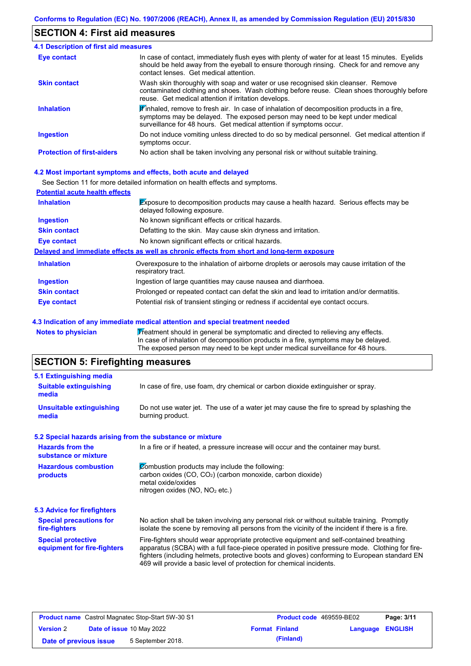## **SECTION 4: First aid measures**

| <b>4.1 Description of first aid measures</b> |                                                                                                                                                                                                                                                                         |
|----------------------------------------------|-------------------------------------------------------------------------------------------------------------------------------------------------------------------------------------------------------------------------------------------------------------------------|
| <b>Eye contact</b>                           | In case of contact, immediately flush eyes with plenty of water for at least 15 minutes. Eyelids<br>should be held away from the eyeball to ensure thorough rinsing. Check for and remove any<br>contact lenses. Get medical attention.                                 |
| <b>Skin contact</b>                          | Wash skin thoroughly with soap and water or use recognised skin cleanser. Remove<br>contaminated clothing and shoes. Wash clothing before reuse. Clean shoes thoroughly before<br>reuse. Get medical attention if irritation develops.                                  |
| <b>Inhalation</b>                            | $\mathbf{\mathscr{F}}$ inhaled, remove to fresh air. In case of inhalation of decomposition products in a fire,<br>symptoms may be delayed. The exposed person may need to be kept under medical<br>surveillance for 48 hours. Get medical attention if symptoms occur. |
| <b>Ingestion</b>                             | Do not induce vomiting unless directed to do so by medical personnel. Get medical attention if<br>symptoms occur.                                                                                                                                                       |
| <b>Protection of first-aiders</b>            | No action shall be taken involving any personal risk or without suitable training.                                                                                                                                                                                      |

#### **4.2 Most important symptoms and effects, both acute and delayed**

See Section 11 for more detailed information on health effects and symptoms.

| <b>Potential acute health effects</b> |                                                                                                                            |
|---------------------------------------|----------------------------------------------------------------------------------------------------------------------------|
| <b>Inhalation</b>                     | <b>Exposure to decomposition products may cause a health hazard. Serious effects may be</b><br>delayed following exposure. |
| <b>Ingestion</b>                      | No known significant effects or critical hazards.                                                                          |
| <b>Skin contact</b>                   | Defatting to the skin. May cause skin dryness and irritation.                                                              |
| Eye contact                           | No known significant effects or critical hazards.                                                                          |
|                                       | Delayed and immediate effects as well as chronic effects from short and long-term exposure                                 |
| <b>Inhalation</b>                     | Overexposure to the inhalation of airborne droplets or aerosols may cause irritation of the<br>respiratory tract.          |
| <b>Ingestion</b>                      | Ingestion of large quantities may cause nausea and diarrhoea.                                                              |
| <b>Skin contact</b>                   | Prolonged or repeated contact can defat the skin and lead to irritation and/or dermatitis.                                 |
| Eye contact                           | Potential risk of transient stinging or redness if accidental eye contact occurs.                                          |

#### **4.3 Indication of any immediate medical attention and special treatment needed**

Notes to physician **Treatment should in general be symptomatic and directed to relieving any effects.** In case of inhalation of decomposition products in a fire, symptoms may be delayed. The exposed person may need to be kept under medical surveillance for 48 hours.

# **SECTION 5: Firefighting measures**

| 5.1 Extinguishing media                                   |                                                                                                                                                                                                                                                                                                                                                                   |
|-----------------------------------------------------------|-------------------------------------------------------------------------------------------------------------------------------------------------------------------------------------------------------------------------------------------------------------------------------------------------------------------------------------------------------------------|
| <b>Suitable extinguishing</b><br>media                    | In case of fire, use foam, dry chemical or carbon dioxide extinguisher or spray.                                                                                                                                                                                                                                                                                  |
| <b>Unsuitable extinguishing</b><br>media                  | Do not use water jet. The use of a water jet may cause the fire to spread by splashing the<br>burning product.                                                                                                                                                                                                                                                    |
| 5.2 Special hazards arising from the substance or mixture |                                                                                                                                                                                                                                                                                                                                                                   |
| <b>Hazards from the</b><br>substance or mixture           | In a fire or if heated, a pressure increase will occur and the container may burst.                                                                                                                                                                                                                                                                               |
| <b>Hazardous combustion</b><br>products                   | Combustion products may include the following:<br>carbon oxides (CO, CO <sub>2</sub> ) (carbon monoxide, carbon dioxide)<br>metal oxide/oxides<br>nitrogen oxides (NO, NO <sub>2</sub> etc.)                                                                                                                                                                      |
| 5.3 Advice for firefighters                               |                                                                                                                                                                                                                                                                                                                                                                   |
| <b>Special precautions for</b><br>fire-fighters           | No action shall be taken involving any personal risk or without suitable training. Promptly<br>isolate the scene by removing all persons from the vicinity of the incident if there is a fire.                                                                                                                                                                    |
| <b>Special protective</b><br>equipment for fire-fighters  | Fire-fighters should wear appropriate protective equipment and self-contained breathing<br>apparatus (SCBA) with a full face-piece operated in positive pressure mode. Clothing for fire-<br>fighters (including helmets, protective boots and gloves) conforming to European standard EN<br>469 will provide a basic level of protection for chemical incidents. |

| <b>Product name</b> Castrol Magnatec Stop-Start 5W-30 S1 |  | <b>Product code</b> 469559-BE02  |                       | Page: 3/11              |  |
|----------------------------------------------------------|--|----------------------------------|-----------------------|-------------------------|--|
| <b>Version 2</b>                                         |  | <b>Date of issue 10 May 2022</b> | <b>Format Finland</b> | <b>Language ENGLISH</b> |  |
| Date of previous issue                                   |  | 5 September 2018.                | (Finland)             |                         |  |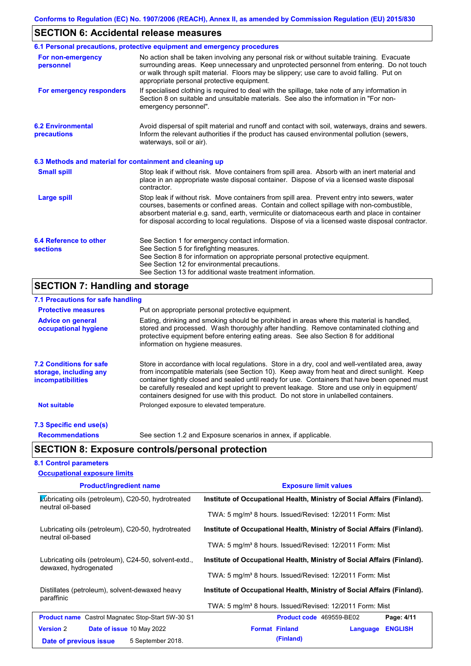# **SECTION 6: Accidental release measures**

|                                                                                                                                                                                                                                                                                                                                                                       | 6.1 Personal precautions, protective equipment and emergency procedures                                                                                                                                                                                                                                                                                                                        |  |  |  |  |  |
|-----------------------------------------------------------------------------------------------------------------------------------------------------------------------------------------------------------------------------------------------------------------------------------------------------------------------------------------------------------------------|------------------------------------------------------------------------------------------------------------------------------------------------------------------------------------------------------------------------------------------------------------------------------------------------------------------------------------------------------------------------------------------------|--|--|--|--|--|
| No action shall be taken involving any personal risk or without suitable training. Evacuate<br>For non-emergency<br>surrounding areas. Keep unnecessary and unprotected personnel from entering. Do not touch<br>personnel<br>or walk through spilt material. Floors may be slippery; use care to avoid falling. Put on<br>appropriate personal protective equipment. |                                                                                                                                                                                                                                                                                                                                                                                                |  |  |  |  |  |
| For emergency responders                                                                                                                                                                                                                                                                                                                                              | If specialised clothing is required to deal with the spillage, take note of any information in<br>Section 8 on suitable and unsuitable materials. See also the information in "For non-<br>emergency personnel".                                                                                                                                                                               |  |  |  |  |  |
| <b>6.2 Environmental</b><br>precautions                                                                                                                                                                                                                                                                                                                               | Avoid dispersal of spilt material and runoff and contact with soil, waterways, drains and sewers.<br>Inform the relevant authorities if the product has caused environmental pollution (sewers,<br>waterways, soil or air).                                                                                                                                                                    |  |  |  |  |  |
| 6.3 Methods and material for containment and cleaning up                                                                                                                                                                                                                                                                                                              |                                                                                                                                                                                                                                                                                                                                                                                                |  |  |  |  |  |
| <b>Small spill</b>                                                                                                                                                                                                                                                                                                                                                    | Stop leak if without risk. Move containers from spill area. Absorb with an inert material and<br>place in an appropriate waste disposal container. Dispose of via a licensed waste disposal<br>contractor.                                                                                                                                                                                     |  |  |  |  |  |
| <b>Large spill</b>                                                                                                                                                                                                                                                                                                                                                    | Stop leak if without risk. Move containers from spill area. Prevent entry into sewers, water<br>courses, basements or confined areas. Contain and collect spillage with non-combustible,<br>absorbent material e.g. sand, earth, vermiculite or diatomaceous earth and place in container<br>for disposal according to local regulations. Dispose of via a licensed waste disposal contractor. |  |  |  |  |  |
| 6.4 Reference to other<br><b>sections</b>                                                                                                                                                                                                                                                                                                                             | See Section 1 for emergency contact information.<br>See Section 5 for firefighting measures.<br>See Section 8 for information on appropriate personal protective equipment.<br>See Section 12 for environmental precautions.<br>See Section 13 for additional waste treatment information.                                                                                                     |  |  |  |  |  |

# **SECTION 7: Handling and storage**

| 7.1 Precautions for safe handling                                             |                                                                                                                                                                                                                                                                                                                                                                                                                                                                                          |
|-------------------------------------------------------------------------------|------------------------------------------------------------------------------------------------------------------------------------------------------------------------------------------------------------------------------------------------------------------------------------------------------------------------------------------------------------------------------------------------------------------------------------------------------------------------------------------|
| <b>Protective measures</b>                                                    | Put on appropriate personal protective equipment.                                                                                                                                                                                                                                                                                                                                                                                                                                        |
| <b>Advice on general</b><br>occupational hygiene                              | Eating, drinking and smoking should be prohibited in areas where this material is handled,<br>stored and processed. Wash thoroughly after handling. Remove contaminated clothing and<br>protective equipment before entering eating areas. See also Section 8 for additional<br>information on hygiene measures.                                                                                                                                                                         |
| <b>7.2 Conditions for safe</b><br>storage, including any<br>incompatibilities | Store in accordance with local regulations. Store in a dry, cool and well-ventilated area, away<br>from incompatible materials (see Section 10). Keep away from heat and direct sunlight. Keep<br>container tightly closed and sealed until ready for use. Containers that have been opened must<br>be carefully resealed and kept upright to prevent leakage. Store and use only in equipment/<br>containers designed for use with this product. Do not store in unlabelled containers. |
| <b>Not suitable</b>                                                           | Prolonged exposure to elevated temperature.                                                                                                                                                                                                                                                                                                                                                                                                                                              |
| 7.3 Specific end use(s)                                                       |                                                                                                                                                                                                                                                                                                                                                                                                                                                                                          |
| <b>Recommendations</b>                                                        | See section 1.2 and Exposure scenarios in annex, if applicable.                                                                                                                                                                                                                                                                                                                                                                                                                          |

## **8.1 Control parameters**

| <b>Occupational exposure limits</b>                                            |                                                                         |  |  |  |
|--------------------------------------------------------------------------------|-------------------------------------------------------------------------|--|--|--|
| <b>Product/ingredient name</b>                                                 | <b>Exposure limit values</b>                                            |  |  |  |
| <b>∠ubricating oils (petroleum), C20-50, hydrotreated</b><br>neutral oil-based | Institute of Occupational Health, Ministry of Social Affairs (Finland). |  |  |  |
|                                                                                | TWA: 5 mg/m <sup>3</sup> 8 hours. Issued/Revised: 12/2011 Form: Mist    |  |  |  |
| Lubricating oils (petroleum), C20-50, hydrotreated<br>neutral oil-based        | Institute of Occupational Health, Ministry of Social Affairs (Finland). |  |  |  |
|                                                                                | TWA: 5 mg/m <sup>3</sup> 8 hours. Issued/Revised: 12/2011 Form: Mist    |  |  |  |
| Lubricating oils (petroleum), C24-50, solvent-extd.,<br>dewaxed, hydrogenated  | Institute of Occupational Health, Ministry of Social Affairs (Finland). |  |  |  |
|                                                                                | TWA: 5 mg/m <sup>3</sup> 8 hours. Issued/Revised: 12/2011 Form: Mist    |  |  |  |
| Distillates (petroleum), solvent-dewaxed heavy<br>paraffinic                   | Institute of Occupational Health, Ministry of Social Affairs (Finland). |  |  |  |
|                                                                                | TWA: 5 mg/m <sup>3</sup> 8 hours. Issued/Revised: 12/2011 Form: Mist    |  |  |  |
| <b>Product name</b> Castrol Magnatec Stop-Start 5W-30 S1                       | Product code 469559-BE02<br>Page: 4/11                                  |  |  |  |
| <b>Version 2</b><br><b>Date of issue 10 May 2022</b>                           | <b>Format Finland</b><br><b>ENGLISH</b><br>Language                     |  |  |  |
| 5 September 2018.<br>Date of previous issue                                    | (Finland)                                                               |  |  |  |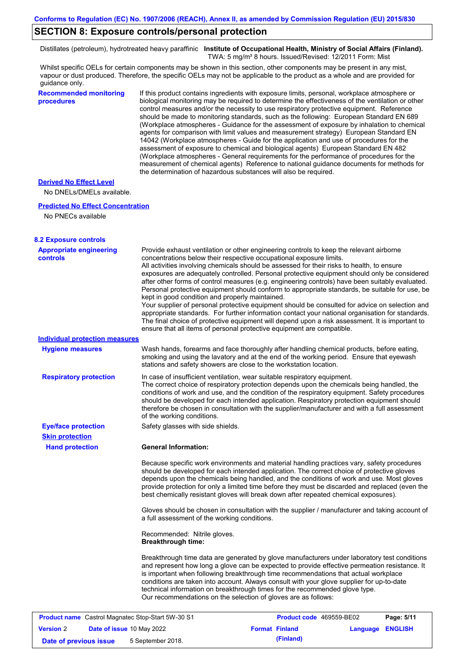## **SECTION 8: Exposure controls/personal protection**

Distillates (petroleum), hydrotreated heavy paraffinic **Institute of Occupational Health, Ministry of Social Affairs (Finland).** TWA: 5 mg/m<sup>3</sup> 8 hours. Issued/Revised: 12/2011 Form: Mist

Whilst specific OELs for certain components may be shown in this section, other components may be present in any mist, vapour or dust produced. Therefore, the specific OELs may not be applicable to the product as a whole and are provided for guidance only.

| <b>Recommended monitoring</b> |  |
|-------------------------------|--|
| procedures                    |  |

If this product contains ingredients with exposure limits, personal, workplace atmosphere or biological monitoring may be required to determine the effectiveness of the ventilation or other control measures and/or the necessity to use respiratory protective equipment. Reference should be made to monitoring standards, such as the following: European Standard EN 689 (Workplace atmospheres - Guidance for the assessment of exposure by inhalation to chemical agents for comparison with limit values and measurement strategy) European Standard EN 14042 (Workplace atmospheres - Guide for the application and use of procedures for the assessment of exposure to chemical and biological agents) European Standard EN 482 (Workplace atmospheres - General requirements for the performance of procedures for the measurement of chemical agents) Reference to national guidance documents for methods for the determination of hazardous substances will also be required.

## **Derived No Effect Level**

No DNELs/DMELs available.

#### **Predicted No Effect Concentration**

No PNECs available

| <b>8.2 Exposure controls</b>                             |                                                           |                                                                                                                                                                                                                                                                                                                                                                                                                                                                                                                                                                                                                                                                                                                                                                                                                                                                                                                                                      |                  |
|----------------------------------------------------------|-----------------------------------------------------------|------------------------------------------------------------------------------------------------------------------------------------------------------------------------------------------------------------------------------------------------------------------------------------------------------------------------------------------------------------------------------------------------------------------------------------------------------------------------------------------------------------------------------------------------------------------------------------------------------------------------------------------------------------------------------------------------------------------------------------------------------------------------------------------------------------------------------------------------------------------------------------------------------------------------------------------------------|------------------|
| <b>Appropriate engineering</b><br>controls               | kept in good condition and properly maintained.           | Provide exhaust ventilation or other engineering controls to keep the relevant airborne<br>concentrations below their respective occupational exposure limits.<br>All activities involving chemicals should be assessed for their risks to health, to ensure<br>exposures are adequately controlled. Personal protective equipment should only be considered<br>after other forms of control measures (e.g. engineering controls) have been suitably evaluated.<br>Personal protective equipment should conform to appropriate standards, be suitable for use, be<br>Your supplier of personal protective equipment should be consulted for advice on selection and<br>appropriate standards. For further information contact your national organisation for standards.<br>The final choice of protective equipment will depend upon a risk assessment. It is important to<br>ensure that all items of personal protective equipment are compatible. |                  |
| <b>Individual protection measures</b>                    |                                                           |                                                                                                                                                                                                                                                                                                                                                                                                                                                                                                                                                                                                                                                                                                                                                                                                                                                                                                                                                      |                  |
| <b>Hygiene measures</b>                                  |                                                           | Wash hands, forearms and face thoroughly after handling chemical products, before eating,<br>smoking and using the lavatory and at the end of the working period. Ensure that eyewash<br>stations and safety showers are close to the workstation location.                                                                                                                                                                                                                                                                                                                                                                                                                                                                                                                                                                                                                                                                                          |                  |
| <b>Respiratory protection</b>                            | of the working conditions.                                | In case of insufficient ventilation, wear suitable respiratory equipment.<br>The correct choice of respiratory protection depends upon the chemicals being handled, the<br>conditions of work and use, and the condition of the respiratory equipment. Safety procedures<br>should be developed for each intended application. Respiratory protection equipment should<br>therefore be chosen in consultation with the supplier/manufacturer and with a full assessment                                                                                                                                                                                                                                                                                                                                                                                                                                                                              |                  |
| <b>Eye/face protection</b>                               | Safety glasses with side shields.                         |                                                                                                                                                                                                                                                                                                                                                                                                                                                                                                                                                                                                                                                                                                                                                                                                                                                                                                                                                      |                  |
| <b>Skin protection</b>                                   |                                                           |                                                                                                                                                                                                                                                                                                                                                                                                                                                                                                                                                                                                                                                                                                                                                                                                                                                                                                                                                      |                  |
| <b>Hand protection</b>                                   | <b>General Information:</b>                               |                                                                                                                                                                                                                                                                                                                                                                                                                                                                                                                                                                                                                                                                                                                                                                                                                                                                                                                                                      |                  |
|                                                          |                                                           | Because specific work environments and material handling practices vary, safety procedures<br>should be developed for each intended application. The correct choice of protective gloves<br>depends upon the chemicals being handled, and the conditions of work and use. Most gloves<br>provide protection for only a limited time before they must be discarded and replaced (even the<br>best chemically resistant gloves will break down after repeated chemical exposures).                                                                                                                                                                                                                                                                                                                                                                                                                                                                     |                  |
|                                                          | a full assessment of the working conditions.              | Gloves should be chosen in consultation with the supplier / manufacturer and taking account of                                                                                                                                                                                                                                                                                                                                                                                                                                                                                                                                                                                                                                                                                                                                                                                                                                                       |                  |
|                                                          | Recommended: Nitrile gloves.<br><b>Breakthrough time:</b> |                                                                                                                                                                                                                                                                                                                                                                                                                                                                                                                                                                                                                                                                                                                                                                                                                                                                                                                                                      |                  |
|                                                          |                                                           | Breakthrough time data are generated by glove manufacturers under laboratory test conditions<br>and represent how long a glove can be expected to provide effective permeation resistance. It<br>is important when following breakthrough time recommendations that actual workplace<br>conditions are taken into account. Always consult with your glove supplier for up-to-date<br>technical information on breakthrough times for the recommended glove type.<br>Our recommendations on the selection of gloves are as follows:                                                                                                                                                                                                                                                                                                                                                                                                                   |                  |
| <b>Product name</b> Castrol Magnatec Stop-Start 5W-30 S1 |                                                           | <b>Product code</b> 469559-BE02                                                                                                                                                                                                                                                                                                                                                                                                                                                                                                                                                                                                                                                                                                                                                                                                                                                                                                                      | Page: 5/11       |
| <b>Version 2</b><br>Date of issue 10 May 2022            |                                                           | <b>Format Finland</b>                                                                                                                                                                                                                                                                                                                                                                                                                                                                                                                                                                                                                                                                                                                                                                                                                                                                                                                                | Language ENGLISH |

**Date of previous issue** 5 September 2018. **(Finland)** (Finland)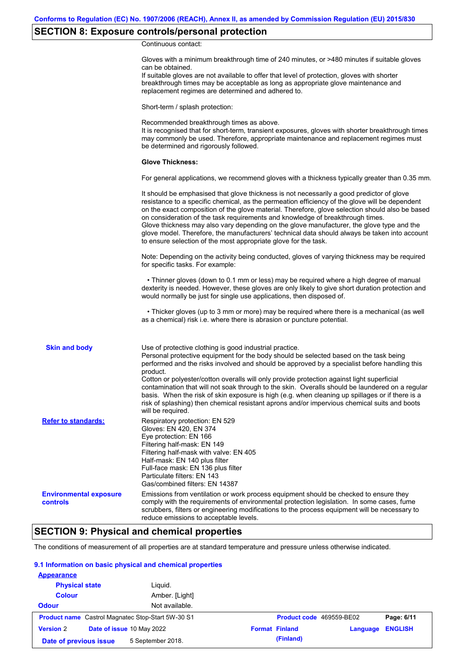## **SECTION 8: Exposure controls/personal protection**

Continuous contact:

|                                           | Gloves with a minimum breakthrough time of 240 minutes, or >480 minutes if suitable gloves<br>can be obtained.<br>If suitable gloves are not available to offer that level of protection, gloves with shorter<br>breakthrough times may be acceptable as long as appropriate glove maintenance and<br>replacement regimes are determined and adhered to.                                                                                                                                                                                                                                                                                                                              |
|-------------------------------------------|---------------------------------------------------------------------------------------------------------------------------------------------------------------------------------------------------------------------------------------------------------------------------------------------------------------------------------------------------------------------------------------------------------------------------------------------------------------------------------------------------------------------------------------------------------------------------------------------------------------------------------------------------------------------------------------|
|                                           | Short-term / splash protection:                                                                                                                                                                                                                                                                                                                                                                                                                                                                                                                                                                                                                                                       |
|                                           | Recommended breakthrough times as above.<br>It is recognised that for short-term, transient exposures, gloves with shorter breakthrough times<br>may commonly be used. Therefore, appropriate maintenance and replacement regimes must<br>be determined and rigorously followed.                                                                                                                                                                                                                                                                                                                                                                                                      |
|                                           | <b>Glove Thickness:</b>                                                                                                                                                                                                                                                                                                                                                                                                                                                                                                                                                                                                                                                               |
|                                           | For general applications, we recommend gloves with a thickness typically greater than 0.35 mm.                                                                                                                                                                                                                                                                                                                                                                                                                                                                                                                                                                                        |
|                                           | It should be emphasised that glove thickness is not necessarily a good predictor of glove<br>resistance to a specific chemical, as the permeation efficiency of the glove will be dependent<br>on the exact composition of the glove material. Therefore, glove selection should also be based<br>on consideration of the task requirements and knowledge of breakthrough times.<br>Glove thickness may also vary depending on the glove manufacturer, the glove type and the<br>glove model. Therefore, the manufacturers' technical data should always be taken into account<br>to ensure selection of the most appropriate glove for the task.                                     |
|                                           | Note: Depending on the activity being conducted, gloves of varying thickness may be required<br>for specific tasks. For example:                                                                                                                                                                                                                                                                                                                                                                                                                                                                                                                                                      |
|                                           | • Thinner gloves (down to 0.1 mm or less) may be required where a high degree of manual<br>dexterity is needed. However, these gloves are only likely to give short duration protection and<br>would normally be just for single use applications, then disposed of.                                                                                                                                                                                                                                                                                                                                                                                                                  |
|                                           | • Thicker gloves (up to 3 mm or more) may be required where there is a mechanical (as well<br>as a chemical) risk i.e. where there is abrasion or puncture potential.                                                                                                                                                                                                                                                                                                                                                                                                                                                                                                                 |
| <b>Skin and body</b>                      | Use of protective clothing is good industrial practice.<br>Personal protective equipment for the body should be selected based on the task being<br>performed and the risks involved and should be approved by a specialist before handling this<br>product.<br>Cotton or polyester/cotton overalls will only provide protection against light superficial<br>contamination that will not soak through to the skin. Overalls should be laundered on a regular<br>basis. When the risk of skin exposure is high (e.g. when cleaning up spillages or if there is a<br>risk of splashing) then chemical resistant aprons and/or impervious chemical suits and boots<br>will be required. |
| <b>Refer to standards:</b>                | Respiratory protection: EN 529<br>Gloves: EN 420, EN 374<br>Eye protection: EN 166<br>Filtering half-mask: EN 149<br>Filtering half-mask with valve: EN 405<br>Half-mask: EN 140 plus filter<br>Full-face mask: EN 136 plus filter<br>Particulate filters: EN 143<br>Gas/combined filters: EN 14387                                                                                                                                                                                                                                                                                                                                                                                   |
| <b>Environmental exposure</b><br>controls | Emissions from ventilation or work process equipment should be checked to ensure they<br>comply with the requirements of environmental protection legislation. In some cases, fume<br>scrubbers, filters or engineering modifications to the process equipment will be necessary to<br>reduce emissions to acceptable levels.                                                                                                                                                                                                                                                                                                                                                         |

## **SECTION 9: Physical and chemical properties**

The conditions of measurement of all properties are at standard temperature and pressure unless otherwise indicated.

## **9.1 Information on basic physical and chemical properties**

| <b>Appearance</b>                                        |                           |                          |          |                |
|----------------------------------------------------------|---------------------------|--------------------------|----------|----------------|
| <b>Physical state</b>                                    | Liquid.                   |                          |          |                |
| <b>Colour</b>                                            | Amber. [Light]            |                          |          |                |
| <b>Odour</b>                                             | Not available.            |                          |          |                |
| <b>Product name</b> Castrol Magnatec Stop-Start 5W-30 S1 |                           | Product code 469559-BE02 |          | Page: 6/11     |
| <b>Version 2</b>                                         | Date of issue 10 May 2022 | <b>Format Finland</b>    | Language | <b>ENGLISH</b> |
| Date of previous issue                                   | 5 September 2018.         | (Finland)                |          |                |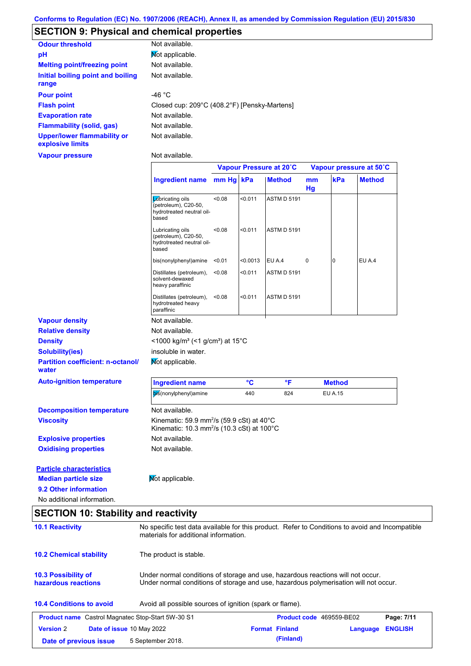## **SECTION 9: Physical and chemical properties**

| <b>Odour threshold</b>                                 | Not available.                               |
|--------------------------------------------------------|----------------------------------------------|
| pH                                                     | Mot applicable.                              |
| <b>Melting point/freezing point</b>                    | Not available.                               |
| Initial boiling point and boiling<br>range             | Not available.                               |
| <b>Pour point</b>                                      | $-46 °C$                                     |
| <b>Flash point</b>                                     | Closed cup: 209°C (408.2°F) [Pensky-Martens] |
| <b>Evaporation rate</b>                                | Not available.                               |
| Flammability (solid, gas)                              | Not available.                               |
| <b>Upper/lower flammability or</b><br>explosive limits | Not available.                               |

**Vapour pressure**

Not available.

|                                                   |                                                                                                                                          | Vapour Pressure at 20°C |          |                    | Vapour pressure at 50°C |                |               |
|---------------------------------------------------|------------------------------------------------------------------------------------------------------------------------------------------|-------------------------|----------|--------------------|-------------------------|----------------|---------------|
|                                                   | <b>Ingredient name</b>                                                                                                                   | mm Hg kPa               |          | <b>Method</b>      | mm<br>Hg                | kPa            | <b>Method</b> |
|                                                   | Labricating oils<br>(petroleum), C20-50,<br>hydrotreated neutral oil-<br>based                                                           | < 0.08                  | < 0.011  | <b>ASTM D 5191</b> |                         |                |               |
|                                                   | Lubricating oils<br>(petroleum), C20-50,<br>hydrotreated neutral oil-<br>based                                                           | < 0.08                  | < 0.011  | <b>ASTM D 5191</b> |                         |                |               |
|                                                   | bis(nonylphenyl)amine                                                                                                                    | < 0.01                  | < 0.0013 | EU A.4             | 0                       | 0              | <b>EU A.4</b> |
|                                                   | Distillates (petroleum),<br>solvent-dewaxed<br>heavy paraffinic                                                                          | < 0.08                  | < 0.011  | <b>ASTM D 5191</b> |                         |                |               |
|                                                   | Distillates (petroleum),<br>hydrotreated heavy<br>paraffinic                                                                             | < 0.08                  | < 0.011  | <b>ASTM D 5191</b> |                         |                |               |
| <b>Vapour density</b>                             | Not available.                                                                                                                           |                         |          |                    |                         |                |               |
| <b>Relative density</b>                           | Not available.                                                                                                                           |                         |          |                    |                         |                |               |
| <b>Density</b>                                    | <1000 kg/m <sup>3</sup> (<1 g/cm <sup>3</sup> ) at 15°C                                                                                  |                         |          |                    |                         |                |               |
| <b>Solubility(ies)</b>                            | insoluble in water.                                                                                                                      |                         |          |                    |                         |                |               |
| <b>Partition coefficient: n-octanol/</b><br>water | Not applicable.                                                                                                                          |                         |          |                    |                         |                |               |
| <b>Auto-ignition temperature</b>                  | <b>Ingredient name</b>                                                                                                                   |                         | °C       | °F                 |                         | <b>Method</b>  |               |
|                                                   | bis(nonylphenyl)amine                                                                                                                    |                         | 440      | 824                |                         | <b>EU A.15</b> |               |
| <b>Decomposition temperature</b>                  | Not available.                                                                                                                           |                         |          |                    |                         |                |               |
| <b>Viscosity</b>                                  | Kinematic: 59.9 mm <sup>2</sup> /s (59.9 cSt) at 40°C<br>Kinematic: 10.3 mm <sup>2</sup> /s (10.3 cSt) at 100°C                          |                         |          |                    |                         |                |               |
| <b>Explosive properties</b>                       | Not available.                                                                                                                           |                         |          |                    |                         |                |               |
| <b>Oxidising properties</b>                       | Not available.                                                                                                                           |                         |          |                    |                         |                |               |
| <b>Particle characteristics</b>                   |                                                                                                                                          |                         |          |                    |                         |                |               |
| <b>Median particle size</b>                       | Mot applicable.                                                                                                                          |                         |          |                    |                         |                |               |
| 9.2 Other information                             |                                                                                                                                          |                         |          |                    |                         |                |               |
| No additional information.                        |                                                                                                                                          |                         |          |                    |                         |                |               |
| <b>SECTION 10: Stability and reactivity</b>       |                                                                                                                                          |                         |          |                    |                         |                |               |
| <b>10.1 Reactivity</b>                            | No specific test data available for this product. Refer to Conditions to avoid and Incompatible<br>materials for additional information. |                         |          |                    |                         |                |               |
| <b>10.2 Chemical stability</b>                    | The product is stable.                                                                                                                   |                         |          |                    |                         |                |               |

| 10.3 Possibility of | Under normal conditions of storage and use, hazardous reactions will not occur.      |
|---------------------|--------------------------------------------------------------------------------------|
| hazardous reactions | Under normal conditions of storage and use, hazardous polymerisation will not occur. |

## **10.4 Conditions to avoid** Avoid all possible sources of ignition (spark or flame).

|                        | <b>Product name</b> Castrol Magnatec Stop-Start 5W-30 S1 | <b>Product code</b> 469559-BE02 |                         | Page: 7/11 |
|------------------------|----------------------------------------------------------|---------------------------------|-------------------------|------------|
| <b>Version 2</b>       | <b>Date of issue 10 May 2022</b>                         | <b>Format Finland</b>           | <b>Language ENGLISH</b> |            |
| Date of previous issue | 5 September 2018.                                        | (Finland)                       |                         |            |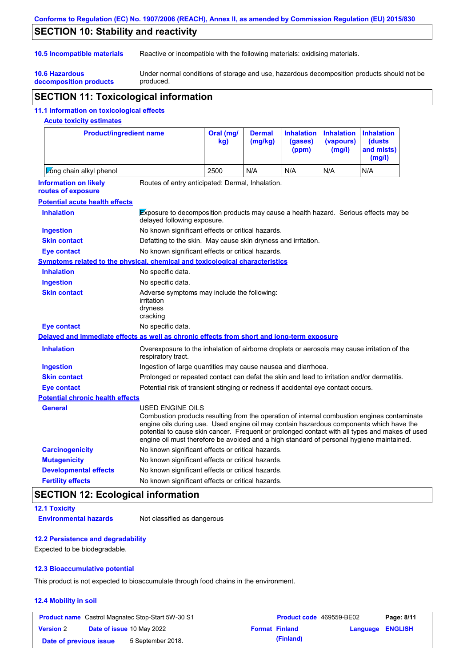## **Conforms to Regulation (EC) No. 1907/2006 (REACH), Annex II, as amended by Commission Regulation (EU) 2015/830**

## **SECTION 10: Stability and reactivity**

**10.6 Hazardous** 

**10.5 Incompatible materials** Reactive or incompatible with the following materials: oxidising materials.

**decomposition products** Under normal conditions of storage and use, hazardous decomposition products should not be produced.

## **SECTION 11: Toxicological information**

## **11.1 Information on toxicological effects**

## **Acute toxicity estimates**

| <b>Product/ingredient name</b>                                                             |                                                                                                                                                                                                         | Oral (mg/<br>kg) | <b>Dermal</b><br>(mg/kg) | <b>Inhalation</b><br>(gases)<br>(ppm) | <b>Inhalation</b><br>(vapours)<br>(mg/l) | <b>Inhalation</b><br><b>(dusts)</b><br>and mists)<br>(mg/l)                                                                                                                                   |
|--------------------------------------------------------------------------------------------|---------------------------------------------------------------------------------------------------------------------------------------------------------------------------------------------------------|------------------|--------------------------|---------------------------------------|------------------------------------------|-----------------------------------------------------------------------------------------------------------------------------------------------------------------------------------------------|
| Long chain alkyl phenol                                                                    |                                                                                                                                                                                                         | 2500             | N/A                      | N/A                                   | N/A                                      | N/A                                                                                                                                                                                           |
| <b>Information on likely</b><br>routes of exposure                                         | Routes of entry anticipated: Dermal, Inhalation.                                                                                                                                                        |                  |                          |                                       |                                          |                                                                                                                                                                                               |
| <b>Potential acute health effects</b>                                                      |                                                                                                                                                                                                         |                  |                          |                                       |                                          |                                                                                                                                                                                               |
| <b>Inhalation</b>                                                                          | <b>Exposure to decomposition products may cause a health hazard. Serious effects may be</b><br>delayed following exposure.                                                                              |                  |                          |                                       |                                          |                                                                                                                                                                                               |
| <b>Ingestion</b>                                                                           | No known significant effects or critical hazards.                                                                                                                                                       |                  |                          |                                       |                                          |                                                                                                                                                                                               |
| <b>Skin contact</b>                                                                        | Defatting to the skin. May cause skin dryness and irritation.                                                                                                                                           |                  |                          |                                       |                                          |                                                                                                                                                                                               |
| <b>Eye contact</b>                                                                         | No known significant effects or critical hazards.                                                                                                                                                       |                  |                          |                                       |                                          |                                                                                                                                                                                               |
| <b>Symptoms related to the physical, chemical and toxicological characteristics</b>        |                                                                                                                                                                                                         |                  |                          |                                       |                                          |                                                                                                                                                                                               |
| <b>Inhalation</b>                                                                          | No specific data.                                                                                                                                                                                       |                  |                          |                                       |                                          |                                                                                                                                                                                               |
| <b>Ingestion</b>                                                                           | No specific data.                                                                                                                                                                                       |                  |                          |                                       |                                          |                                                                                                                                                                                               |
| <b>Skin contact</b>                                                                        | Adverse symptoms may include the following:<br>irritation<br>dryness<br>cracking                                                                                                                        |                  |                          |                                       |                                          |                                                                                                                                                                                               |
| <b>Eye contact</b>                                                                         | No specific data.                                                                                                                                                                                       |                  |                          |                                       |                                          |                                                                                                                                                                                               |
| Delayed and immediate effects as well as chronic effects from short and long-term exposure |                                                                                                                                                                                                         |                  |                          |                                       |                                          |                                                                                                                                                                                               |
| <b>Inhalation</b>                                                                          | Overexposure to the inhalation of airborne droplets or aerosols may cause irritation of the<br>respiratory tract.                                                                                       |                  |                          |                                       |                                          |                                                                                                                                                                                               |
| <b>Ingestion</b>                                                                           | Ingestion of large quantities may cause nausea and diarrhoea.                                                                                                                                           |                  |                          |                                       |                                          |                                                                                                                                                                                               |
| <b>Skin contact</b>                                                                        | Prolonged or repeated contact can defat the skin and lead to irritation and/or dermatitis.                                                                                                              |                  |                          |                                       |                                          |                                                                                                                                                                                               |
| <b>Eye contact</b>                                                                         | Potential risk of transient stinging or redness if accidental eye contact occurs.                                                                                                                       |                  |                          |                                       |                                          |                                                                                                                                                                                               |
| <b>Potential chronic health effects</b>                                                    |                                                                                                                                                                                                         |                  |                          |                                       |                                          |                                                                                                                                                                                               |
| <b>General</b>                                                                             | USED ENGINE OILS<br>engine oils during use. Used engine oil may contain hazardous components which have the<br>engine oil must therefore be avoided and a high standard of personal hygiene maintained. |                  |                          |                                       |                                          | Combustion products resulting from the operation of internal combustion engines contaminate<br>potential to cause skin cancer. Frequent or prolonged contact with all types and makes of used |
| <b>Carcinogenicity</b>                                                                     | No known significant effects or critical hazards.                                                                                                                                                       |                  |                          |                                       |                                          |                                                                                                                                                                                               |
| <b>Mutagenicity</b>                                                                        | No known significant effects or critical hazards.                                                                                                                                                       |                  |                          |                                       |                                          |                                                                                                                                                                                               |
| <b>Developmental effects</b>                                                               | No known significant effects or critical hazards.                                                                                                                                                       |                  |                          |                                       |                                          |                                                                                                                                                                                               |
| <b>Fertility effects</b>                                                                   | No known significant effects or critical hazards.                                                                                                                                                       |                  |                          |                                       |                                          |                                                                                                                                                                                               |

## **SECTION 12: Ecological information**

**12.1 Toxicity**

**Environmental hazards** Not classified as dangerous

#### **12.2 Persistence and degradability**

Expected to be biodegradable.

#### **12.3 Bioaccumulative potential**

This product is not expected to bioaccumulate through food chains in the environment.

#### **12.4 Mobility in soil**

| <b>Product name</b> Castrol Magnatec Stop-Start 5W-30 S1 |  |                                  | <b>Product code</b> 469559-BE02 | Page: 8/11            |                         |  |
|----------------------------------------------------------|--|----------------------------------|---------------------------------|-----------------------|-------------------------|--|
| <b>Version 2</b>                                         |  | <b>Date of issue 10 May 2022</b> |                                 | <b>Format Finland</b> | <b>Language ENGLISH</b> |  |
| Date of previous issue                                   |  | 5 September 2018.                |                                 | (Finland)             |                         |  |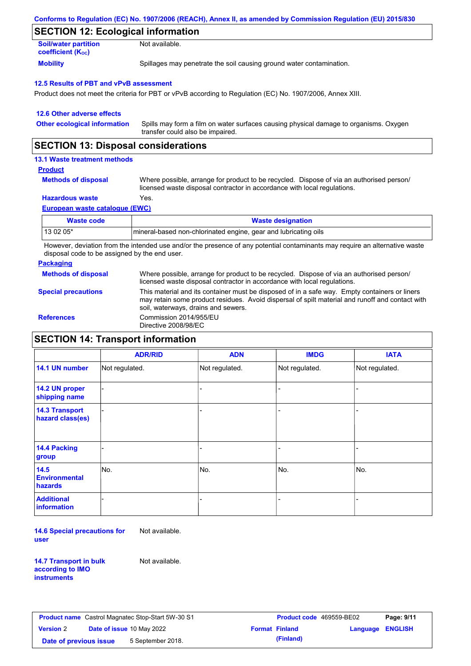| Conforms to Regulation (EC) No. 1907/2006 (REACH), Annex II, as amended by Commission Regulation (EU) 2015/830 |  |
|----------------------------------------------------------------------------------------------------------------|--|
|----------------------------------------------------------------------------------------------------------------|--|

## **SECTION 12: Ecological information**

| <b>Soil/water partition</b>           | Not available.                                                       |
|---------------------------------------|----------------------------------------------------------------------|
| <b>coefficient</b> (K <sub>oc</sub> ) |                                                                      |
| <b>Mobility</b>                       | Spillages may penetrate the soil causing ground water contamination. |

#### **12.5 Results of PBT and vPvB assessment**

Product does not meet the criteria for PBT or vPvB according to Regulation (EC) No. 1907/2006, Annex XIII.

| 12.6 Other adverse effects          |                                                                                                                           |
|-------------------------------------|---------------------------------------------------------------------------------------------------------------------------|
| <b>Other ecological information</b> | Spills may form a film on water surfaces causing physical damage to organisms. Oxygen<br>transfer could also be impaired. |

## **SECTION 13: Disposal considerations**

## **13.1 Waste treatment methods**

#### **Product**

**Methods of disposal**

Where possible, arrange for product to be recycled. Dispose of via an authorised person/ licensed waste disposal contractor in accordance with local regulations.

## **Hazardous waste** Yes.

**European waste catalogue (EWC)**

| Waste code | <b>Waste designation</b>                                        |
|------------|-----------------------------------------------------------------|
| 13 02 05*  | mineral-based non-chlorinated engine, gear and lubricating oils |

However, deviation from the intended use and/or the presence of any potential contaminants may require an alternative waste disposal code to be assigned by the end user.

#### **Packaging**

**Methods of disposal** Where possible, arrange for product to be recycled. Dispose of via an authorised person/ licensed waste disposal contractor in accordance with local regulations.

## **Special precautions**

This material and its container must be disposed of in a safe way. Empty containers or liners

may retain some product residues. Avoid dispersal of spilt material and runoff and contact with soil, waterways, drains and sewers. **References** Commission 2014/955/EU

Directive 2008/98/EC

| <b>SECTION 14: Transport information</b> |  |
|------------------------------------------|--|
|------------------------------------------|--|

|                                           | <b>ADR/RID</b> | <b>ADN</b>     | <b>IMDG</b>    | <b>IATA</b>    |
|-------------------------------------------|----------------|----------------|----------------|----------------|
| 14.1 UN number                            | Not regulated. | Not regulated. | Not regulated. | Not regulated. |
| 14.2 UN proper<br>shipping name           |                |                | $\blacksquare$ |                |
| <b>14.3 Transport</b><br>hazard class(es) |                |                | -              |                |
| <b>14.4 Packing</b><br>group              |                |                | -              |                |
| $14.5$<br><b>Environmental</b><br>hazards | No.            | No.            | No.            | No.            |
| <b>Additional</b><br><b>information</b>   |                |                |                |                |

**14.6 Special precautions for user** Not available.

**14.7 Transport in bulk according to IMO instruments**

Not available.

| <b>Product name</b> Castrol Magnatec Stop-Start 5W-30 S1 |  |                                  | <b>Product code</b> 469559-BE02 | Page: 9/11            |                         |  |
|----------------------------------------------------------|--|----------------------------------|---------------------------------|-----------------------|-------------------------|--|
| <b>Version 2</b>                                         |  | <b>Date of issue 10 May 2022</b> |                                 | <b>Format Finland</b> | <b>Language ENGLISH</b> |  |
| Date of previous issue                                   |  | 5 September 2018.                |                                 | (Finland)             |                         |  |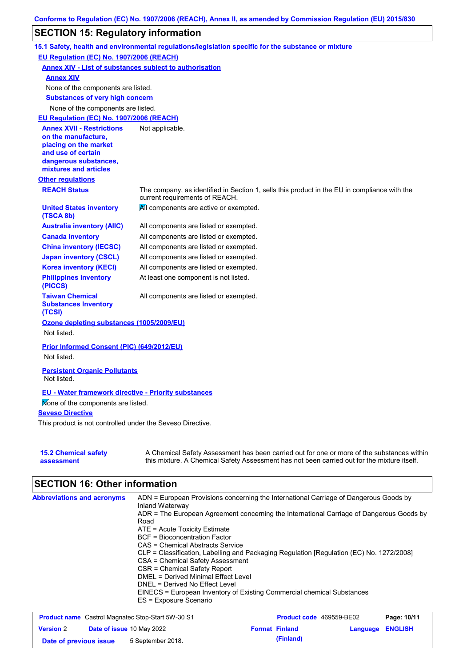## **SECTION 15: Regulatory information**

|                                                                                                                                                          | 15.1 Safety, health and environmental regulations/legislation specific for the substance or mixture                                                                                       |
|----------------------------------------------------------------------------------------------------------------------------------------------------------|-------------------------------------------------------------------------------------------------------------------------------------------------------------------------------------------|
| EU Regulation (EC) No. 1907/2006 (REACH)                                                                                                                 |                                                                                                                                                                                           |
| <b>Annex XIV - List of substances subject to authorisation</b>                                                                                           |                                                                                                                                                                                           |
| <b>Annex XIV</b>                                                                                                                                         |                                                                                                                                                                                           |
| None of the components are listed.                                                                                                                       |                                                                                                                                                                                           |
| <b>Substances of very high concern</b>                                                                                                                   |                                                                                                                                                                                           |
| None of the components are listed.                                                                                                                       |                                                                                                                                                                                           |
| EU Regulation (EC) No. 1907/2006 (REACH)                                                                                                                 |                                                                                                                                                                                           |
| <b>Annex XVII - Restrictions</b><br>on the manufacture,<br>placing on the market<br>and use of certain<br>dangerous substances,<br>mixtures and articles | Not applicable.                                                                                                                                                                           |
| <b>Other regulations</b>                                                                                                                                 |                                                                                                                                                                                           |
| <b>REACH Status</b>                                                                                                                                      | The company, as identified in Section 1, sells this product in the EU in compliance with the<br>current requirements of REACH.                                                            |
| <b>United States inventory</b><br>(TSCA 8b)                                                                                                              | All components are active or exempted.                                                                                                                                                    |
| <b>Australia inventory (AIIC)</b>                                                                                                                        | All components are listed or exempted.                                                                                                                                                    |
| <b>Canada inventory</b>                                                                                                                                  | All components are listed or exempted.                                                                                                                                                    |
| <b>China inventory (IECSC)</b>                                                                                                                           | All components are listed or exempted.                                                                                                                                                    |
| <b>Japan inventory (CSCL)</b>                                                                                                                            | All components are listed or exempted.                                                                                                                                                    |
| <b>Korea inventory (KECI)</b>                                                                                                                            | All components are listed or exempted.                                                                                                                                                    |
| <b>Philippines inventory</b><br>(PICCS)                                                                                                                  | At least one component is not listed.                                                                                                                                                     |
| <b>Taiwan Chemical</b><br><b>Substances Inventory</b><br>(TCSI)                                                                                          | All components are listed or exempted.                                                                                                                                                    |
| Ozone depleting substances (1005/2009/EU)<br>Not listed.                                                                                                 |                                                                                                                                                                                           |
| Prior Informed Consent (PIC) (649/2012/EU)                                                                                                               |                                                                                                                                                                                           |
| Not listed.                                                                                                                                              |                                                                                                                                                                                           |
| <b>Persistent Organic Pollutants</b><br>Not listed.                                                                                                      |                                                                                                                                                                                           |
| <b>EU - Water framework directive - Priority substances</b>                                                                                              |                                                                                                                                                                                           |
| Mone of the components are listed.                                                                                                                       |                                                                                                                                                                                           |
| <b>Seveso Directive</b>                                                                                                                                  |                                                                                                                                                                                           |
| This product is not controlled under the Seveso Directive.                                                                                               |                                                                                                                                                                                           |
| <b>15.2 Chemical safety</b><br>assessment                                                                                                                | A Chemical Safety Assessment has been carried out for one or more of the substances within<br>this mixture. A Chemical Safety Assessment has not been carried out for the mixture itself. |

# **SECTION 16: Other information**

| ADN = European Provisions concerning the International Carriage of Dangerous Goods by<br>Inland Waterway |  |  |  |  |
|----------------------------------------------------------------------------------------------------------|--|--|--|--|
| ADR = The European Agreement concerning the International Carriage of Dangerous Goods by                 |  |  |  |  |
| Road                                                                                                     |  |  |  |  |
| $ATE = Acute Toxicity Estimate$                                                                          |  |  |  |  |
| <b>BCF</b> = Bioconcentration Factor                                                                     |  |  |  |  |
| CAS = Chemical Abstracts Service                                                                         |  |  |  |  |
| CLP = Classification, Labelling and Packaging Regulation [Regulation (EC) No. 1272/2008]                 |  |  |  |  |
| CSA = Chemical Safety Assessment                                                                         |  |  |  |  |
| CSR = Chemical Safety Report                                                                             |  |  |  |  |
| DMEL = Derived Minimal Effect Level                                                                      |  |  |  |  |
| DNEL = Derived No Effect Level                                                                           |  |  |  |  |
| EINECS = European Inventory of Existing Commercial chemical Substances                                   |  |  |  |  |
| ES = Exposure Scenario                                                                                   |  |  |  |  |
|                                                                                                          |  |  |  |  |

| <b>Product name</b> Castrol Magnatec Stop-Start 5W-30 S1 |  |                                  | <b>Product code</b> 469559-BE02 | Page: 10/11           |                  |  |
|----------------------------------------------------------|--|----------------------------------|---------------------------------|-----------------------|------------------|--|
| <b>Version 2</b>                                         |  | <b>Date of issue 10 May 2022</b> |                                 | <b>Format Finland</b> | Language ENGLISH |  |
| Date of previous issue                                   |  | 5 September 2018.                |                                 | (Finland)             |                  |  |